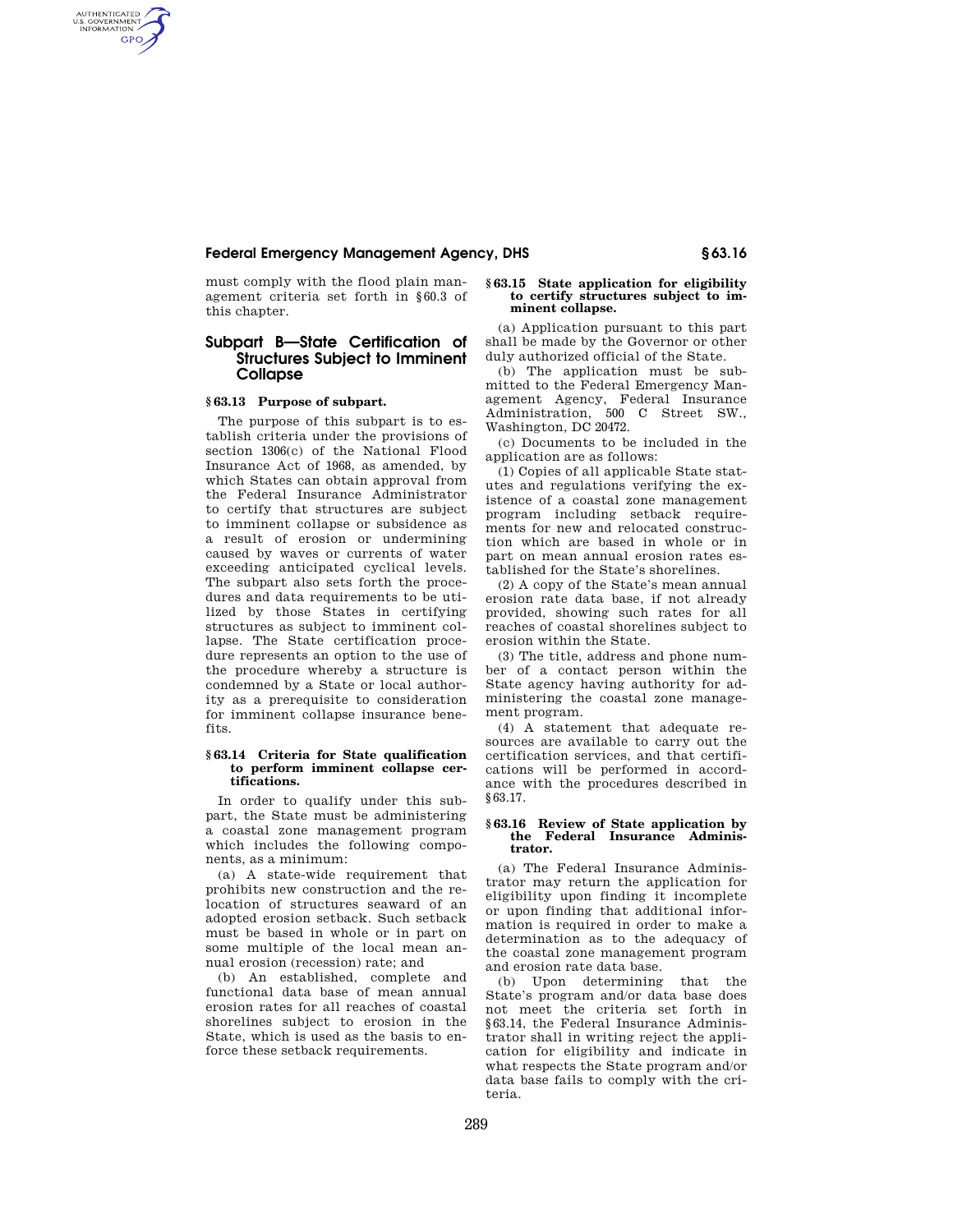## **Federal Emergency Management Agency, DHS § 63.16**

must comply with the flood plain management criteria set forth in §60.3 of this chapter.

# **Subpart B—State Certification of Structures Subject to Imminent Collapse**

## **§ 63.13 Purpose of subpart.**

AUTHENTICATED<br>U.S. GOVERNMENT<br>INFORMATION **GPO** 

> The purpose of this subpart is to establish criteria under the provisions of section 1306(c) of the National Flood Insurance Act of 1968, as amended, by which States can obtain approval from the Federal Insurance Administrator to certify that structures are subject to imminent collapse or subsidence as a result of erosion or undermining caused by waves or currents of water exceeding anticipated cyclical levels. The subpart also sets forth the procedures and data requirements to be utilized by those States in certifying structures as subject to imminent collapse. The State certification procedure represents an option to the use of the procedure whereby a structure is condemned by a State or local authority as a prerequisite to consideration for imminent collapse insurance benefits.

### **§ 63.14 Criteria for State qualification to perform imminent collapse certifications.**

In order to qualify under this subpart, the State must be administering a coastal zone management program which includes the following components, as a minimum:

(a) A state-wide requirement that prohibits new construction and the relocation of structures seaward of an adopted erosion setback. Such setback must be based in whole or in part on some multiple of the local mean annual erosion (recession) rate; and

(b) An established, complete and functional data base of mean annual erosion rates for all reaches of coastal shorelines subject to erosion in the State, which is used as the basis to enforce these setback requirements.

#### **§ 63.15 State application for eligibility to certify structures subject to imminent collapse.**

(a) Application pursuant to this part shall be made by the Governor or other duly authorized official of the State.

(b) The application must be submitted to the Federal Emergency Management Agency, Federal Insurance Administration, 500 C Street SW., Washington, DC 20472.

(c) Documents to be included in the application are as follows:

(1) Copies of all applicable State statutes and regulations verifying the existence of a coastal zone management program including setback requirements for new and relocated construction which are based in whole or in part on mean annual erosion rates established for the State's shorelines.

(2) A copy of the State's mean annual erosion rate data base, if not already provided, showing such rates for all reaches of coastal shorelines subject to erosion within the State.

(3) The title, address and phone number of a contact person within the State agency having authority for administering the coastal zone management program.

(4) A statement that adequate resources are available to carry out the certification services, and that certifications will be performed in accordance with the procedures described in §63.17.

#### **§ 63.16 Review of State application by the Federal Insurance Administrator.**

(a) The Federal Insurance Administrator may return the application for eligibility upon finding it incomplete or upon finding that additional information is required in order to make a determination as to the adequacy of the coastal zone management program and erosion rate data base.

(b) Upon determining that the State's program and/or data base does not meet the criteria set forth in §63.14, the Federal Insurance Administrator shall in writing reject the application for eligibility and indicate in what respects the State program and/or data base fails to comply with the criteria.